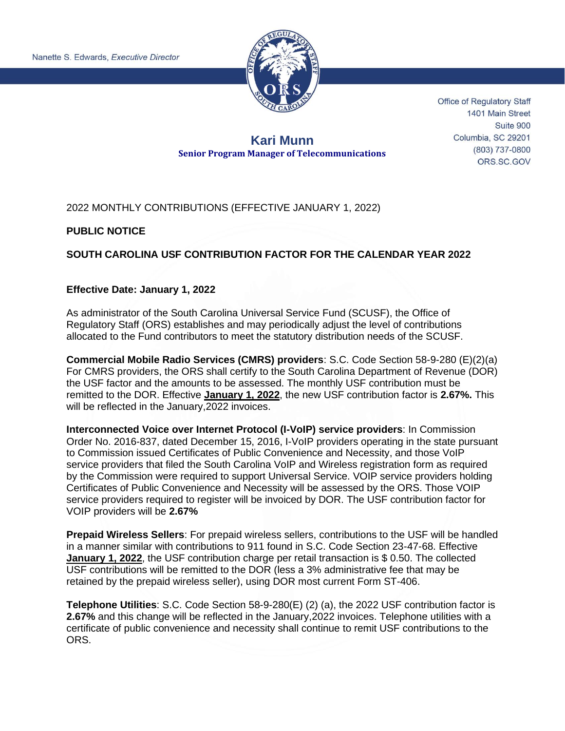

Office of Regulatory Staff 1401 Main Street Suite 900 Columbia, SC 29201 (803) 737-0800 ORS.SC.GOV

# **Kari Munn Senior Program Manager of Telecommunications**

# 2022 MONTHLY CONTRIBUTIONS (EFFECTIVE JANUARY 1, 2022)

### **PUBLIC NOTICE**

### **SOUTH CAROLINA USF CONTRIBUTION FACTOR FOR THE CALENDAR YEAR 2022**

#### **Effective Date: January 1, 2022**

As administrator of the South Carolina Universal Service Fund (SCUSF), the Office of Regulatory Staff (ORS) establishes and may periodically adjust the level of contributions allocated to the Fund contributors to meet the statutory distribution needs of the SCUSF.

**Commercial Mobile Radio Services (CMRS) providers**: S.C. Code Section 58-9-280 (E)(2)(a) For CMRS providers, the ORS shall certify to the South Carolina Department of Revenue (DOR) the USF factor and the amounts to be assessed. The monthly USF contribution must be remitted to the DOR. Effective **January 1, 2022**, the new USF contribution factor is **2.67%.** This will be reflected in the January,2022 invoices.

**Interconnected Voice over Internet Protocol (I-VoIP) service providers**: In Commission Order No. 2016-837, dated December 15, 2016, I-VoIP providers operating in the state pursuant to Commission issued Certificates of Public Convenience and Necessity, and those VoIP service providers that filed the South Carolina VoIP and Wireless registration form as required by the Commission were required to support Universal Service. VOIP service providers holding Certificates of Public Convenience and Necessity will be assessed by the ORS. Those VOIP service providers required to register will be invoiced by DOR. The USF contribution factor for VOIP providers will be **2.67%**

**Prepaid Wireless Sellers**: For prepaid wireless sellers, contributions to the USF will be handled in a manner similar with contributions to 911 found in S.C. Code Section 23-47-68. Effective **January 1, 2022**, the USF contribution charge per retail transaction is \$ 0.50. The collected USF contributions will be remitted to the DOR (less a 3% administrative fee that may be retained by the prepaid wireless seller), using DOR most current Form ST-406.

**Telephone Utilities**: S.C. Code Section 58-9-280(E) (2) (a), the 2022 USF contribution factor is **2.67%** and this change will be reflected in the January,2022 invoices. Telephone utilities with a certificate of public convenience and necessity shall continue to remit USF contributions to the ORS.